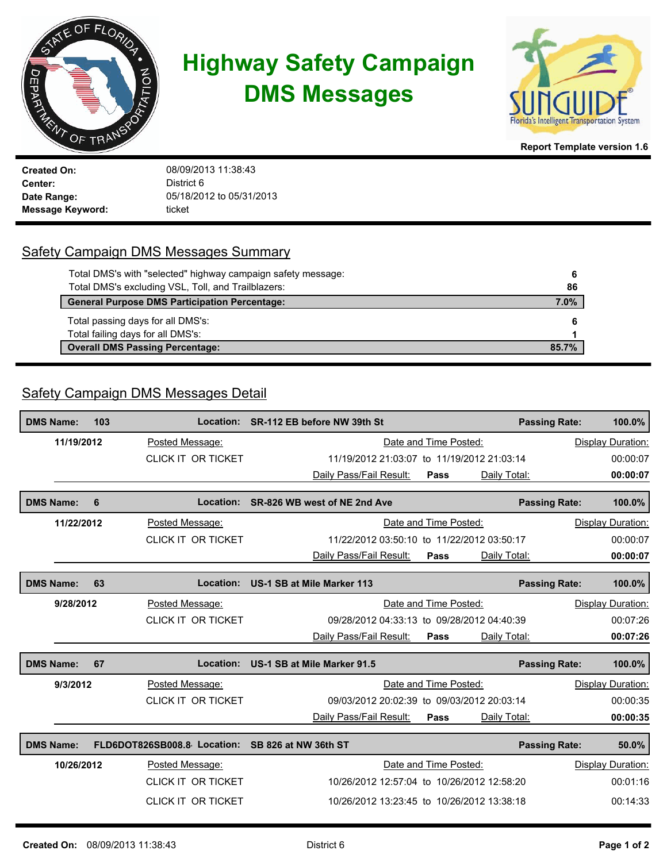

## **Highway Safety Campaign DMS Messages**



**Report Template version 1.6**

**Created On: Center:** 08/09/2013 11:38:43 District 6 **Date Range:** 05/18/2012 to 05/31/2013 **Message Keyword:** ticket

## Safety Campaign DMS Messages Summary

| Total DMS's with "selected" highway campaign safety message: | 6     |
|--------------------------------------------------------------|-------|
| Total DMS's excluding VSL, Toll, and Trailblazers:           | 86    |
| <b>General Purpose DMS Participation Percentage:</b>         | 7.0%  |
| Total passing days for all DMS's:                            |       |
| Total failing days for all DMS's:                            |       |
| <b>Overall DMS Passing Percentage:</b>                       | 85.7% |

## Safety Campaign DMS Messages Detail

| <b>DMS Name:</b>              |           | 103             | Location:                   | SR-112 EB before NW 39th St                |                       |              | <b>Passing Rate:</b> | 100.0%            |
|-------------------------------|-----------|-----------------|-----------------------------|--------------------------------------------|-----------------------|--------------|----------------------|-------------------|
| 11/19/2012<br>Posted Message: |           |                 | Date and Time Posted:       |                                            |                       |              | Display Duration:    |                   |
|                               |           |                 | <b>CLICK IT OR TICKET</b>   | 11/19/2012 21:03:07 to 11/19/2012 21:03:14 |                       |              |                      | 00:00:07          |
|                               |           |                 |                             | Daily Pass/Fail Result:                    | Pass                  | Daily Total: |                      | 00:00:07          |
| <b>DMS Name:</b>              |           | 6               | Location:                   | SR-826 WB west of NE 2nd Ave               |                       |              | <b>Passing Rate:</b> | 100.0%            |
| Posted Message:<br>11/22/2012 |           |                 |                             | Date and Time Posted:                      |                       |              | Display Duration:    |                   |
|                               |           |                 | CLICK IT OR TICKET          | 11/22/2012 03:50:10 to 11/22/2012 03:50:17 |                       |              | 00:00:07             |                   |
|                               |           |                 |                             | Daily Pass/Fail Result:                    | Pass                  | Daily Total: |                      | 00:00:07          |
| <b>DMS Name:</b>              |           | 63              | Location:                   | US-1 SB at Mile Marker 113                 |                       |              |                      |                   |
|                               |           |                 |                             |                                            |                       |              | <b>Passing Rate:</b> | 100.0%            |
|                               | 9/28/2012 |                 | Posted Message:             |                                            | Date and Time Posted: |              |                      | Display Duration: |
|                               |           |                 | <b>CLICK IT OR TICKET</b>   | 09/28/2012 04:33:13 to 09/28/2012 04:40:39 |                       |              |                      | 00:07:26          |
|                               |           |                 |                             | Daily Pass/Fail Result:                    | Pass                  | Daily Total: |                      | 00:07:26          |
| <b>DMS Name:</b>              |           | 67              | Location:                   | US-1 SB at Mile Marker 91.5                |                       |              | <b>Passing Rate:</b> | 100.0%            |
|                               | 9/3/2012  |                 | Posted Message:             |                                            | Date and Time Posted: |              |                      | Display Duration: |
|                               |           |                 | <b>CLICK IT OR TICKET</b>   | 09/03/2012 20:02:39 to 09/03/2012 20:03:14 |                       |              |                      | 00:00:35          |
|                               |           |                 |                             | Daily Pass/Fail Result:                    | Pass                  | Daily Total: |                      | 00:00:35          |
| <b>DMS Name:</b>              |           |                 | FLD6DOT826SB008.8 Location: | SB 826 at NW 36th ST                       |                       |              | <b>Passing Rate:</b> | 50.0%             |
| 10/26/2012                    |           | Posted Message: |                             | Date and Time Posted:                      |                       |              | Display Duration:    |                   |
|                               |           |                 | <b>CLICK IT OR TICKET</b>   | 10/26/2012 12:57:04 to 10/26/2012 12:58:20 |                       |              |                      | 00:01:16          |
|                               |           |                 | <b>CLICK IT OR TICKET</b>   | 10/26/2012 13:23:45 to 10/26/2012 13:38:18 |                       |              |                      | 00:14:33          |